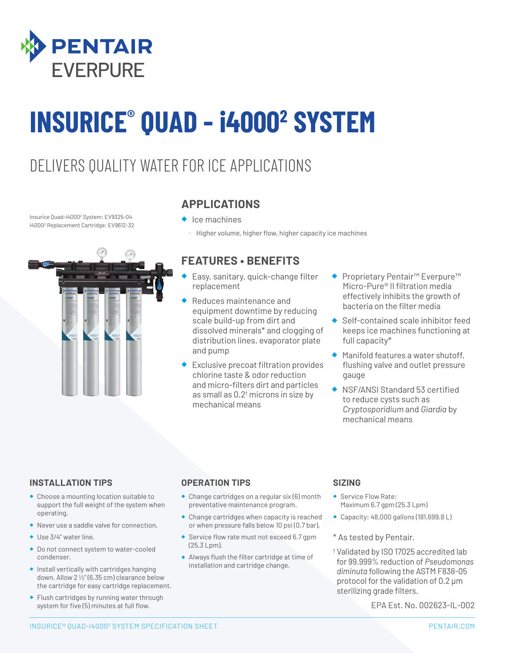

# **INSURICE® QUAD - i4000<sup>2</sup> SYSTEM**

### DELIVERS QUALITY WATER FOR ICE APPLICATIONS

Insurice Quad-i4000<sup>2</sup> System: EV9325-04 i4000<sup>2</sup> Replacement Cartridge: EV9612-32



#### **APPLICATIONS**

- ◆ Ice machines
	- Higher volume, higher flow, higher capacity ice machines

#### **FEATURES • BENEFITS**

- Easy, sanitary, quick-change filter replacement
- Reduces maintenance and equipment downtime by reducing scale build-up from dirt and dissolved minerals\* and clogging of distribution lines, evaporator plate and pump
- Exclusive precoat filtration provides chlorine taste & odor reduction and micro-filters dirt and particles as small as  $0.2<sup>†</sup>$  microns in size by mechanical means
- **Proprietary Pentair™ Everpure™** Micro-Pure® II filtration media effectively inhibits the growth of bacteria on the filter media
- Self-contained scale inhibitor feed keeps ice machines functioning at full capacity\*
- ◆ Manifold features a water shutoff, flushing valve and outlet pressure gauge
- **NSF/ANSI Standard 53 certified** to reduce cysts such as *Cryptosporidium* and *Giardia* by mechanical means

#### **INSTALLATION TIPS**

- ◆ Choose a mounting location suitable to support the full weight of the system when operating.
- ◆ Never use a saddle valve for connection.
- ◆ Use 3/4" water line.
- ◆ Do not connect system to water-cooled condenser.
- ◆ Install vertically with cartridges hanging down. Allow 2 1/2" (6.35 cm) clearance below the cartridge for easy cartridge replacement.
- ◆ Flush cartridges by running water through system for five (5) minutes at full flow.

#### **OPERATION TIPS**

- ◆ Change cartridges on a regular six (6) month preventative maintenance program.
- ◆ Change cartridges when capacity is reached or when pressure falls below 10 psi (0.7 bar).
- ◆ Service flow rate must not exceed 6.7 gpm (25.3 Lpm).
- ◆ Always flush the filter cartridge at time of installation and cartridge change.

#### **SIZING**

- ◆ Service Flow Rate: Maximum 6.7 gpm (25.3 Lpm)
- ◆ Capacity: 48,000 gallons (181,699.8 L)
- \* As tested by Pentair.
- † Validated by ISO 17025 accredited lab for 99.999% reduction of *Pseudomonas diminuta* following the ASTM F838-05 protocol for the validation of 0.2 μm sterilizing grade filters.

EPA Est. No. 002623-IL-002